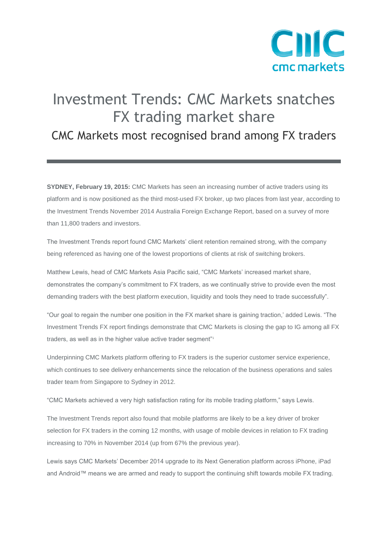

## Investment Trends: CMC Markets snatches FX trading market share

## CMC Markets most recognised brand among FX traders

**SYDNEY, February 19, 2015:** CMC Markets has seen an increasing number of active traders using its platform and is now positioned as the third most-used FX broker, up two places from last year, according to the Investment Trends November 2014 Australia Foreign Exchange Report, based on a survey of more than 11,800 traders and investors.

The Investment Trends report found CMC Markets' client retention remained strong, with the company being referenced as having one of the lowest proportions of clients at risk of switching brokers.

Matthew Lewis, head of CMC Markets Asia Pacific said, "CMC Markets' increased market share, demonstrates the company's commitment to FX traders, as we continually strive to provide even the most demanding traders with the best platform execution, liquidity and tools they need to trade successfully".

"Our goal to regain the number one position in the FX market share is gaining traction,' added Lewis. "The Investment Trends FX report findings demonstrate that CMC Markets is closing the gap to IG among all FX traders, as well as in the higher value active trader segment"<sup>1</sup>

Underpinning CMC Markets platform offering to FX traders is the superior customer service experience, which continues to see delivery enhancements since the relocation of the business operations and sales trader team from Singapore to Sydney in 2012.

"CMC Markets achieved a very high satisfaction rating for its mobile trading platform," says Lewis.

The Investment Trends report also found that mobile platforms are likely to be a key driver of broker selection for FX traders in the coming 12 months, with usage of mobile devices in relation to FX trading increasing to 70% in November 2014 (up from 67% the previous year).

Lewis says CMC Markets' December 2014 upgrade to its Next Generation platform across iPhone, iPad and Android™ means we are armed and ready to support the continuing shift towards mobile FX trading.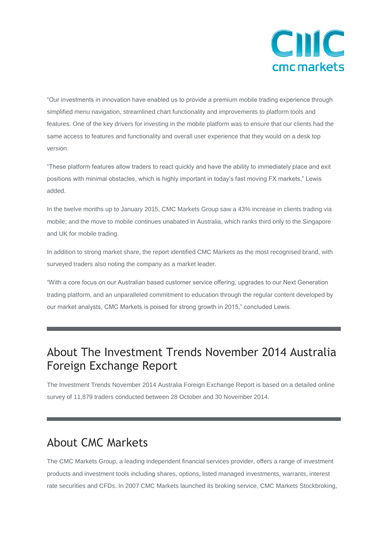

"Our investments in innovation have enabled us to provide a premium mobile trading experience through simplified menu navigation, streamlined chart functionality and improvements to platform tools and features. One of the key drivers for investing in the mobile platform was to ensure that our clients had the same access to features and functionality and overall user experience that they would on a desk top version.

"These platform features allow traders to react quickly and have the ability to immediately place and exit positions with minimal obstacles, which is highly important in today's fast moving FX markets," Lewis added.

In the twelve months up to January 2015, CMC Markets Group saw a 43% increase in clients trading via mobile; and the move to mobile continues unabated in Australia, which ranks third only to the Singapore and UK for mobile trading.

In addition to strong market share, the report identified CMC Markets as the most recognised brand, with surveyed traders also noting the company as a market leader.

"With a core focus on our Australian based customer service offering, upgrades to our Next Generation trading platform, and an unparalleled commitment to education through the regular content developed by our market analysts, CMC Markets is poised for strong growth in 2015," concluded Lewis.

## About The Investment Trends November 2014 Australia Foreign Exchange Report

The Investment Trends November 2014 Australia Foreign Exchange Report is based on a detailed online survey of 11,879 traders conducted between 28 October and 30 November 2014.

## About CMC Markets

The CMC Markets Group, a leading independent financial services provider, offers a range of investment products and investment tools including shares, options, listed managed investments, warrants, interest rate securities and CFDs. In 2007 CMC Markets launched its broking service, CMC Markets Stockbroking,